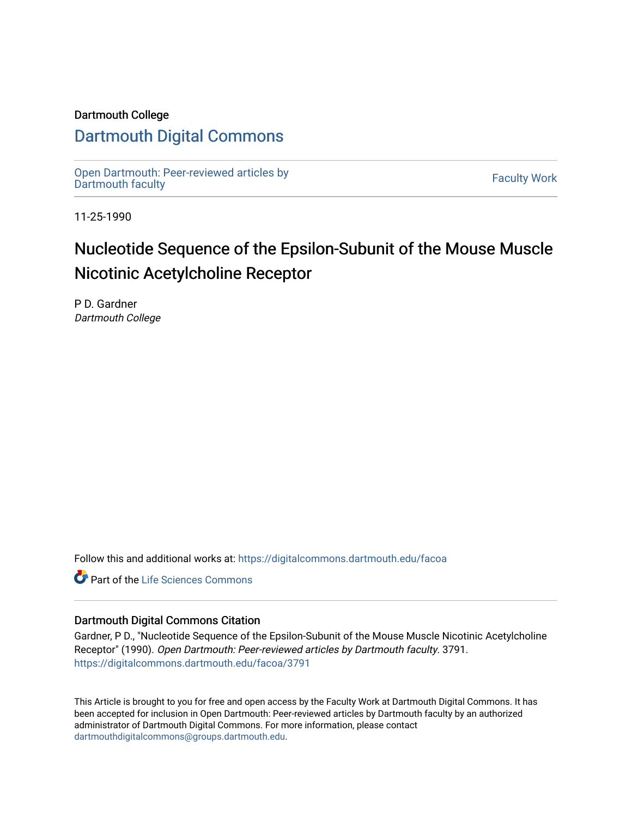### Dartmouth College

# [Dartmouth Digital Commons](https://digitalcommons.dartmouth.edu/)

[Open Dartmouth: Peer-reviewed articles by](https://digitalcommons.dartmouth.edu/facoa)  Open Dartmouth Feer-reviewed articles by<br>[Dartmouth faculty](https://digitalcommons.dartmouth.edu/facoa)

11-25-1990

# Nucleotide Sequence of the Epsilon-Subunit of the Mouse Muscle Nicotinic Acetylcholine Receptor

P D. Gardner Dartmouth College

Follow this and additional works at: [https://digitalcommons.dartmouth.edu/facoa](https://digitalcommons.dartmouth.edu/facoa?utm_source=digitalcommons.dartmouth.edu%2Ffacoa%2F3791&utm_medium=PDF&utm_campaign=PDFCoverPages)

Part of the [Life Sciences Commons](http://network.bepress.com/hgg/discipline/1016?utm_source=digitalcommons.dartmouth.edu%2Ffacoa%2F3791&utm_medium=PDF&utm_campaign=PDFCoverPages) 

### Dartmouth Digital Commons Citation

Gardner, P D., "Nucleotide Sequence of the Epsilon-Subunit of the Mouse Muscle Nicotinic Acetylcholine Receptor" (1990). Open Dartmouth: Peer-reviewed articles by Dartmouth faculty. 3791. [https://digitalcommons.dartmouth.edu/facoa/3791](https://digitalcommons.dartmouth.edu/facoa/3791?utm_source=digitalcommons.dartmouth.edu%2Ffacoa%2F3791&utm_medium=PDF&utm_campaign=PDFCoverPages) 

This Article is brought to you for free and open access by the Faculty Work at Dartmouth Digital Commons. It has been accepted for inclusion in Open Dartmouth: Peer-reviewed articles by Dartmouth faculty by an authorized administrator of Dartmouth Digital Commons. For more information, please contact [dartmouthdigitalcommons@groups.dartmouth.edu](mailto:dartmouthdigitalcommons@groups.dartmouth.edu).